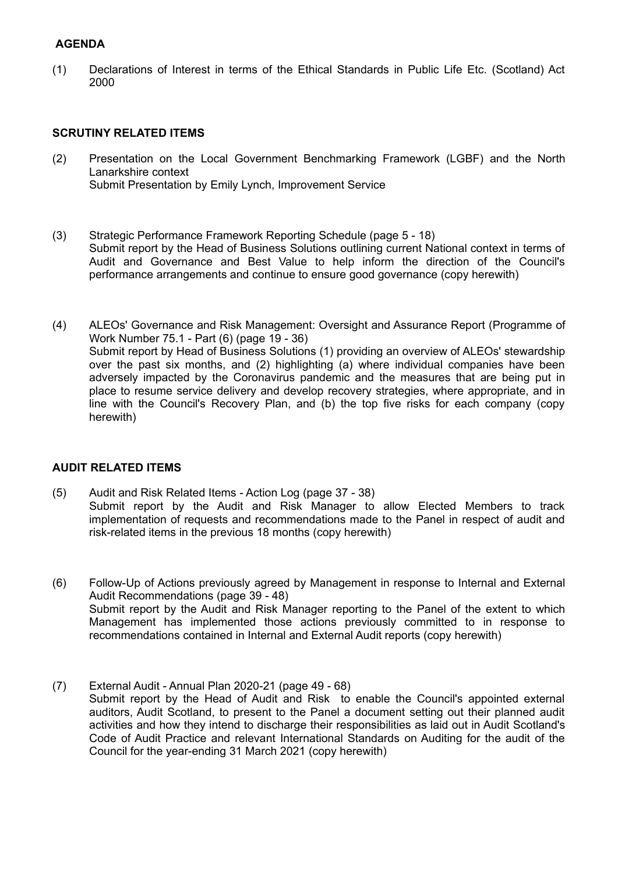## **AGENDA**

(1) Declarations of Interest in terms of the Ethical Standards in Public Life Etc. (Scotland) Act 2000

## **SCRUTINY RELATED ITEMS**

- (2) Presentation on the Local Government Benchmarking Framework (LGBF) and the North Lanarkshire context Submit Presentation by Emily Lynch, Improvement Service
- (3) Strategic Performance Framework Reporting Schedule (page 5 18) Submit report by the Head of Business Solutions outlining current National context in terms of Audit and Governance and Best Value to help inform the direction of the Council's performance arrangements and continue to ensure good governance (copy herewith)
- (4) ALEOs' Governance and Risk Management: Oversight and Assurance Report (Programme of Work Number 75.1 - Part (6) (page 19 - 36) Submit report by Head of Business Solutions (1) providing an overview of ALEOs' stewardship over the past six months, and (2) highlighting (a) where individual companies have been adversely impacted by the Coronavirus pandemic and the measures that are being put in place to resume service delivery and develop recovery strategies, where appropriate, and in line with the Council's Recovery Plan, and (b) the top five risks for each company (copy herewith)

## **AUDIT RELATED ITEMS**

- (5) Audit and Risk Related Items Action Log (page 37 38) Submit report by the Audit and Risk Manager to allow Elected Members to track implementation of requests and recommendations made to the Panel in respect of audit and risk-related items in the previous 18 months (copy herewith)
- (6) Follow-Up of Actions previously agreed by Management in response to Internal and External Audit Recommendations (page 39 - 48) Submit report by the Audit and Risk Manager reporting to the Panel of the extent to which Management has implemented those actions previously committed to in response to recommendations contained in Internal and External Audit reports (copy herewith)
- (7) External Audit Annual Plan 2020-21 (page 49 68) Submit report by the Head of Audit and Risk to enable the Council's appointed external auditors, Audit Scotland, to present to the Panel a document setting out their planned audit activities and how they intend to discharge their responsibilities as laid out in Audit Scotland's Code of Audit Practice and relevant International Standards on Auditing for the audit of the Council for the year-ending 31 March 2021 (copy herewith)